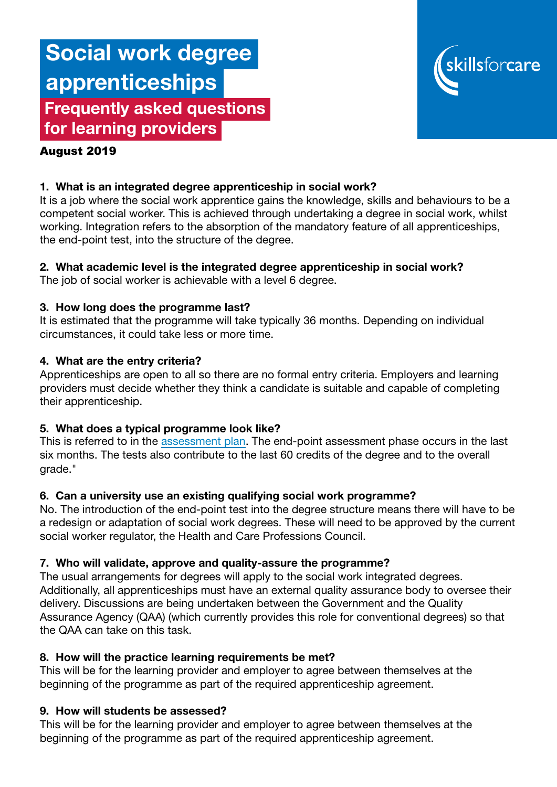# Social work degree apprenticeships Frequently asked questions for learning providers



#### August 2019

# 1. What is an integrated degree apprenticeship in social work?

It is a job where the social work apprentice gains the knowledge, skills and behaviours to be a competent social worker. This is achieved through undertaking a degree in social work, whilst working. Integration refers to the absorption of the mandatory feature of all apprenticeships, the end-point test, into the structure of the degree.

# 2. What academic level is the integrated degree apprenticeship in social work?

The job of social worker is achievable with a level 6 degree.

### 3. How long does the programme last?

It is estimated that the programme will take typically 36 months. Depending on individual circumstances, it could take less or more time.

### 4. What are the entry criteria?

Apprenticeships are open to all so there are no formal entry criteria. Employers and learning providers must decide whether they think a candidate is suitable and capable of completing their apprenticeship.

### 5. What does a typical programme look like?

This is referred to in the [assessment plan.](https://www.instituteforapprenticeships.org/media/2491/sto510_socialworker_level-6_epa-v1-for-publication-281118.pdf) The end-point assessment phase occurs in the last six months. The tests also contribute to the last 60 credits of the degree and to the overall grade."

### 6. Can a university use an existing qualifying social work programme?

No. The introduction of the end-point test into the degree structure means there will have to be a redesign or adaptation of social work degrees. These will need to be approved by the current social worker regulator, the Health and Care Professions Council.

### 7. Who will validate, approve and quality-assure the programme?

The usual arrangements for degrees will apply to the social work integrated degrees. Additionally, all apprenticeships must have an external quality assurance body to oversee their delivery. Discussions are being undertaken between the Government and the Quality Assurance Agency (QAA) (which currently provides this role for conventional degrees) so that the QAA can take on this task.

### 8. How will the practice learning requirements be met?

This will be for the learning provider and employer to agree between themselves at the beginning of the programme as part of the required apprenticeship agreement.

### 9. How will students be assessed?

This will be for the learning provider and employer to agree between themselves at the beginning of the programme as part of the required apprenticeship agreement.